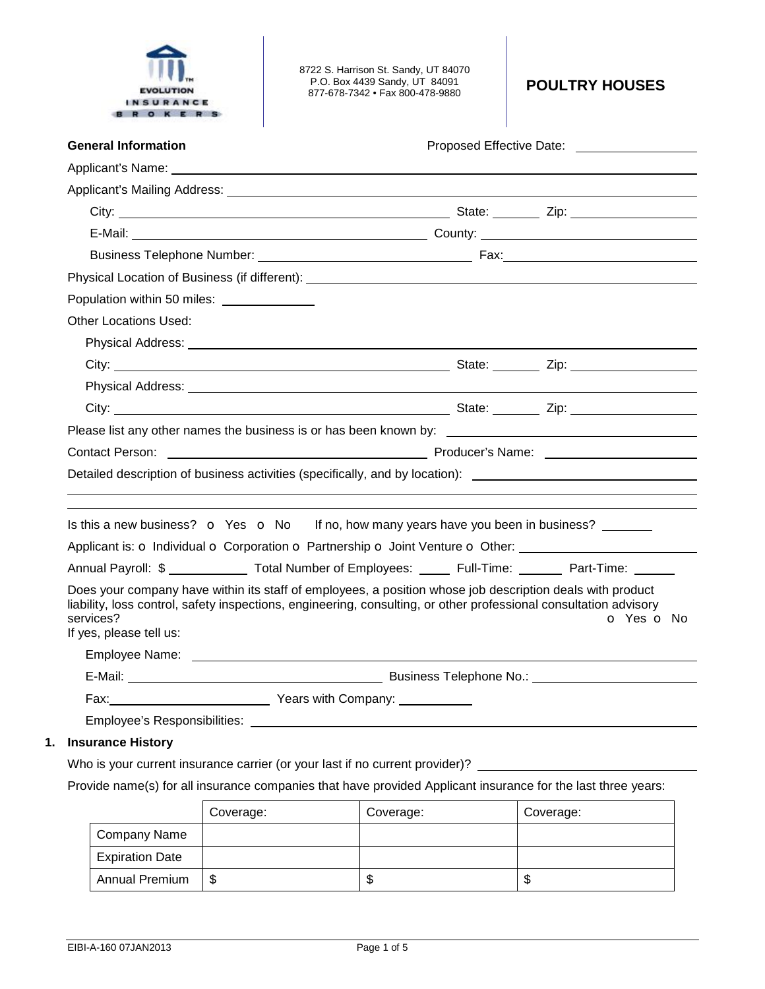|  | <b>EVOLUTION</b> |  |  |
|--|------------------|--|--|
|  | INSURANCE        |  |  |
|  |                  |  |  |

| <b>General Information</b>                  | Proposed Effective Date: ____________________                                                                                                                                                                                                |
|---------------------------------------------|----------------------------------------------------------------------------------------------------------------------------------------------------------------------------------------------------------------------------------------------|
|                                             | Applicant's Name: The contract of the contract of the contract of the contract of the contract of the contract of the contract of the contract of the contract of the contract of the contract of the contract of the contract               |
|                                             |                                                                                                                                                                                                                                              |
|                                             |                                                                                                                                                                                                                                              |
|                                             |                                                                                                                                                                                                                                              |
|                                             |                                                                                                                                                                                                                                              |
|                                             | Physical Location of Business (if different): ___________________________________                                                                                                                                                            |
| Population within 50 miles: _______________ |                                                                                                                                                                                                                                              |
| <b>Other Locations Used:</b>                |                                                                                                                                                                                                                                              |
|                                             |                                                                                                                                                                                                                                              |
|                                             |                                                                                                                                                                                                                                              |
|                                             |                                                                                                                                                                                                                                              |
|                                             |                                                                                                                                                                                                                                              |
|                                             | Please list any other names the business is or has been known by: __________________________________                                                                                                                                         |
|                                             | Contact Person: Name: 2008 2012 2013 2014 2014 2015 2016 2017 2018 2019 2014 2016 2017 2018 2019 2019 2017 201                                                                                                                               |
|                                             | Detailed description of business activities (specifically, and by location): ________________________________                                                                                                                                |
|                                             |                                                                                                                                                                                                                                              |
|                                             | Is this a new business? $\bullet$ Yes $\bullet$ No If no, how many years have you been in business?                                                                                                                                          |
|                                             | Applicant is: O Individual O Corporation O Partnership O Joint Venture O Other:                                                                                                                                                              |
|                                             | Annual Payroll: \$ ______________ Total Number of Employees: ______ Full-Time: _______ Part-Time: ______                                                                                                                                     |
| services?<br>If yes, please tell us:        | Does your company have within its staff of employees, a position whose job description deals with product<br>liability, loss control, safety inspections, engineering, consulting, or other professional consultation advisory<br>O Yes O No |
|                                             |                                                                                                                                                                                                                                              |
|                                             |                                                                                                                                                                                                                                              |
|                                             |                                                                                                                                                                                                                                              |
|                                             |                                                                                                                                                                                                                                              |
| Incuranos History                           |                                                                                                                                                                                                                                              |

# **1. Insurance History**

Who is your current insurance carrier (or your last if no current provider)? \_\_\_\_\_\_\_\_\_

Provide name(s) for all insurance companies that have provided Applicant insurance for the last three years:

|                        | Coverage: | Coverage: | Coverage: |
|------------------------|-----------|-----------|-----------|
| Company Name           |           |           |           |
| <b>Expiration Date</b> |           |           |           |
| <b>Annual Premium</b>  | \$        | w         | J         |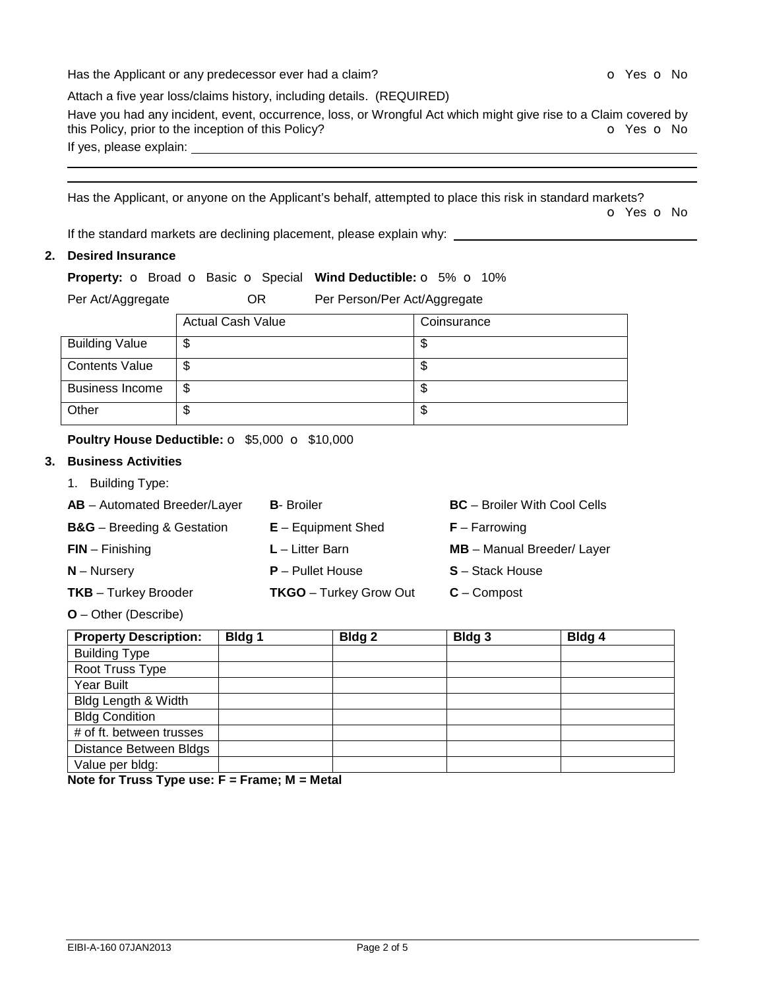Has the Applicant or any predecessor ever had a claim? **O** Yes **o** No

| Attach a five year loss/claims history, including details. (REQUIRED)                                           |                          |
|-----------------------------------------------------------------------------------------------------------------|--------------------------|
| Have you had any incident, event, occurrence, loss, or Wrongful Act which might give rise to a Claim covered by |                          |
| this Policy, prior to the inception of this Policy?                                                             | <b>o</b> Yes <b>o</b> No |
| If yes, please explain:                                                                                         |                          |

Has the Applicant, or anyone on the Applicant's behalf, attempted to place this risk in standard markets?

o Yes o No

If the standard markets are declining placement, please explain why: \_\_\_\_\_\_\_\_\_\_\_\_\_\_\_\_\_\_

## **2. Desired Insurance**

 

|                   |                     | <b>Property:</b> o Broad o Basic o Special Wind Deductible: o 5% o 10% |
|-------------------|---------------------|------------------------------------------------------------------------|
| Per Act/Aggregate | OR                  | Per Person/Per Act/Aggregate                                           |
|                   | Astrial Coale Malus | O <sub>min</sub>                                                       |

|                        | <b>Actual Cash Value</b> | Coinsurance |
|------------------------|--------------------------|-------------|
| <b>Building Value</b>  | \$                       | ѡ           |
| <b>Contents Value</b>  | \$                       | ѡ           |
| <b>Business Income</b> | \$                       | ۰D          |
| Other                  | \$                       | ۰D          |

### **Poultry House Deductible: o \$5,000 o \$10,000**

## **3. Business Activities**

| 1. Building Type:                     |                               |                                     |
|---------------------------------------|-------------------------------|-------------------------------------|
| AB - Automated Breeder/Layer          | <b>B</b> -Broiler             | <b>BC</b> – Broiler With Cool Cells |
| <b>B&amp;G</b> – Breeding & Gestation | $E -$ Equipment Shed          | $F - Farrowing$                     |
| $FIN - Finishing$                     | $L$ – Litter Barn             | MB - Manual Breeder/ Layer          |
| $N - N$ ursery                        | $P -$ Pullet House            | <b>S</b> – Stack House              |
| <b>TKB</b> - Turkey Brooder           | <b>TKGO</b> - Turkey Grow Out | $C$ – Compost                       |
|                                       |                               |                                     |

#### **O** – Other (Describe)

| <b>Property Description:</b> | Bldg 1 | Bldg <sub>2</sub> | Bldg <sub>3</sub> | Bldg 4 |
|------------------------------|--------|-------------------|-------------------|--------|
| <b>Building Type</b>         |        |                   |                   |        |
| Root Truss Type              |        |                   |                   |        |
| Year Built                   |        |                   |                   |        |
| Bldg Length & Width          |        |                   |                   |        |
| <b>Bldg Condition</b>        |        |                   |                   |        |
| # of ft. between trusses     |        |                   |                   |        |
| Distance Between Bldgs       |        |                   |                   |        |
| Value per bldg:              |        |                   |                   |        |

**Note for Truss Type use: F = Frame; M = Metal**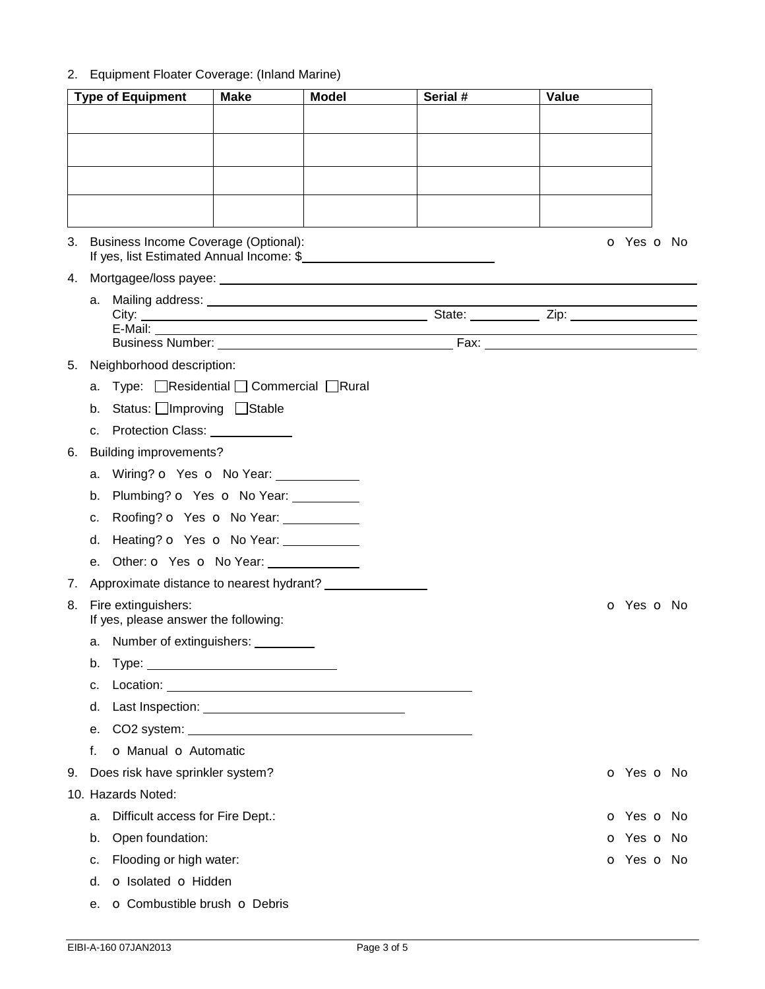# 2. Equipment Floater Coverage: (Inland Marine)

| <b>Type of Equipment</b> |    |                                                                | <b>Make</b><br><b>Model</b> |                                                                                                                                                                                                                                | Serial # | Value |                          |
|--------------------------|----|----------------------------------------------------------------|-----------------------------|--------------------------------------------------------------------------------------------------------------------------------------------------------------------------------------------------------------------------------|----------|-------|--------------------------|
|                          |    |                                                                |                             |                                                                                                                                                                                                                                |          |       |                          |
|                          |    |                                                                |                             |                                                                                                                                                                                                                                |          |       |                          |
|                          |    |                                                                |                             |                                                                                                                                                                                                                                |          |       |                          |
|                          |    |                                                                |                             |                                                                                                                                                                                                                                |          |       |                          |
|                          |    |                                                                |                             |                                                                                                                                                                                                                                |          |       |                          |
|                          |    |                                                                |                             |                                                                                                                                                                                                                                |          |       |                          |
|                          |    | 3. Business Income Coverage (Optional):                        |                             |                                                                                                                                                                                                                                |          |       | O Yes O No               |
|                          |    |                                                                |                             |                                                                                                                                                                                                                                |          |       |                          |
|                          |    |                                                                |                             |                                                                                                                                                                                                                                |          |       |                          |
|                          |    |                                                                |                             |                                                                                                                                                                                                                                |          |       |                          |
|                          |    |                                                                |                             |                                                                                                                                                                                                                                |          |       |                          |
|                          |    | 5. Neighborhood description:                                   |                             |                                                                                                                                                                                                                                |          |       |                          |
|                          |    | a. Type: <b>□Residential □ Commercial □Rural</b>               |                             |                                                                                                                                                                                                                                |          |       |                          |
|                          |    | b. Status: Improving Stable                                    |                             |                                                                                                                                                                                                                                |          |       |                          |
|                          | c. | Protection Class: ____________                                 |                             |                                                                                                                                                                                                                                |          |       |                          |
| 6.                       |    | <b>Building improvements?</b>                                  |                             |                                                                                                                                                                                                                                |          |       |                          |
|                          |    | a. Wiring? o Yes o No Year:                                    |                             |                                                                                                                                                                                                                                |          |       |                          |
|                          | b. | Plumbing? o Yes o No Year: _________                           |                             |                                                                                                                                                                                                                                |          |       |                          |
|                          | C. | Roofing? o Yes o No Year:                                      |                             |                                                                                                                                                                                                                                |          |       |                          |
|                          | d. | Heating? o Yes o No Year: ___________                          |                             |                                                                                                                                                                                                                                |          |       |                          |
|                          |    | e. Other: <b>o</b> Yes <b>o</b> No Year: <u>containing</u>     |                             |                                                                                                                                                                                                                                |          |       |                          |
| 7.                       |    |                                                                |                             | Approximate distance to nearest hydrant?                                                                                                                                                                                       |          |       |                          |
|                          |    | 8. Fire extinguishers:<br>If yes, please answer the following: |                             |                                                                                                                                                                                                                                |          |       | <b>o</b> Yes <b>o</b> No |
|                          |    | a. Number of extinguishers:                                    |                             |                                                                                                                                                                                                                                |          |       |                          |
|                          | b. |                                                                |                             |                                                                                                                                                                                                                                |          |       |                          |
|                          | c. |                                                                |                             |                                                                                                                                                                                                                                |          |       |                          |
|                          | d. |                                                                |                             |                                                                                                                                                                                                                                |          |       |                          |
|                          | е. |                                                                |                             | CO2 system: Note and the state of the state of the state of the state of the state of the state of the state of the state of the state of the state of the state of the state of the state of the state of the state of the st |          |       |                          |
|                          | f. | o Manual o Automatic                                           |                             |                                                                                                                                                                                                                                |          |       |                          |
| 9.                       |    | Does risk have sprinkler system?                               |                             |                                                                                                                                                                                                                                |          |       | o Yes o No               |
|                          |    | 10. Hazards Noted:                                             |                             |                                                                                                                                                                                                                                |          |       |                          |
|                          | a. | Difficult access for Fire Dept.:                               |                             |                                                                                                                                                                                                                                |          |       | <b>o</b> Yes <b>o</b> No |
|                          | b. | Open foundation:                                               |                             |                                                                                                                                                                                                                                |          |       | <b>o</b> Yes <b>o</b> No |
|                          | c. | Flooding or high water:                                        |                             |                                                                                                                                                                                                                                |          |       | o Yes o No               |
|                          | d. | o Isolated o Hidden                                            |                             |                                                                                                                                                                                                                                |          |       |                          |
|                          | е. | O Combustible brush O Debris                                   |                             |                                                                                                                                                                                                                                |          |       |                          |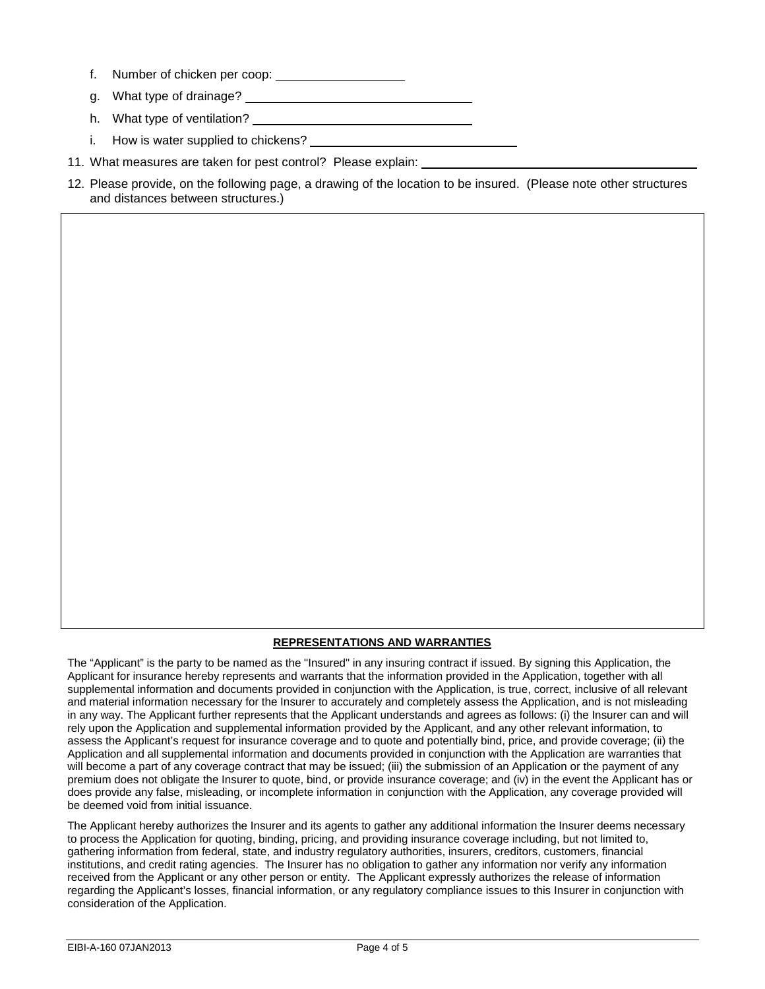- f. Number of chicken per coop:
- g. What type of drainage?
- h. What type of ventilation?
- i. How is water supplied to chickens? \_\_\_\_
- 11. What measures are taken for pest control? Please explain:
- 12. Please provide, on the following page, a drawing of the location to be insured. (Please note other structures and distances between structures.)

#### **REPRESENTATIONS AND WARRANTIES**

The "Applicant" is the party to be named as the "Insured" in any insuring contract if issued. By signing this Application, the Applicant for insurance hereby represents and warrants that the information provided in the Application, together with all supplemental information and documents provided in conjunction with the Application, is true, correct, inclusive of all relevant and material information necessary for the Insurer to accurately and completely assess the Application, and is not misleading in any way. The Applicant further represents that the Applicant understands and agrees as follows: (i) the Insurer can and will rely upon the Application and supplemental information provided by the Applicant, and any other relevant information, to assess the Applicant's request for insurance coverage and to quote and potentially bind, price, and provide coverage; (ii) the Application and all supplemental information and documents provided in conjunction with the Application are warranties that will become a part of any coverage contract that may be issued; (iii) the submission of an Application or the payment of any premium does not obligate the Insurer to quote, bind, or provide insurance coverage; and (iv) in the event the Applicant has or does provide any false, misleading, or incomplete information in conjunction with the Application, any coverage provided will be deemed void from initial issuance.

The Applicant hereby authorizes the Insurer and its agents to gather any additional information the Insurer deems necessary to process the Application for quoting, binding, pricing, and providing insurance coverage including, but not limited to, gathering information from federal, state, and industry regulatory authorities, insurers, creditors, customers, financial institutions, and credit rating agencies. The Insurer has no obligation to gather any information nor verify any information received from the Applicant or any other person or entity. The Applicant expressly authorizes the release of information regarding the Applicant's losses, financial information, or any regulatory compliance issues to this Insurer in conjunction with consideration of the Application.